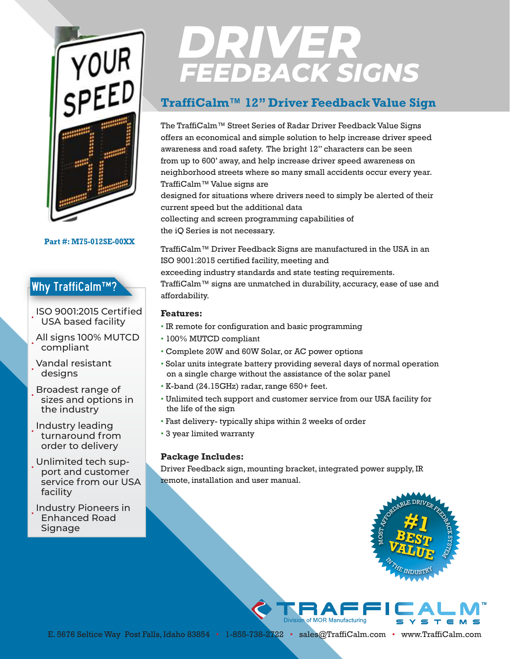

#### **Part #: M75-012SE-00XX**

## Why TraffiCalm™?

• ISO 9001:2015 Certified USA based facility

• All signs 100% MUTCD compliant

• Vandal resistant designs

• Broadest range of sizes and options in the industry

• Industry leading turnaround from order to delivery

• Unlimited tech support and customer service from our USA facility

• Industry Pioneers in Enhanced Road Signage

# **DRIVER<br>FEEDBACK SIGNS**

### **TraffiCalm™ 12" Driver Feedback Value Sign**

The TraffiCalm™ Street Series of Radar Driver Feedback Value Signs offers an economical and simple solution to help increase driver speed awareness and road safety. The bright 12" characters can be seen from up to 600' away, and help increase driver speed awareness on neighborhood streets where so many small accidents occur every year. TraffiCalm™ Value signs are

designed for situations where drivers need to simply be alerted of their current speed but the additional data collecting and screen programming capabilities of

the iQ Series is not necessary.

TraffiCalm™ Driver Feedback Signs are manufactured in the USA in an ISO 9001:2015 certified facility, meeting and exceeding industry standards and state testing requirements. TraffiCalm™ signs are unmatched in durability, accuracy, ease of use and affordability.

#### **Features:**

- IR remote for configuration and basic programming
- 100% MUTCD compliant
- Complete 20W and 60W Solar, or AC power options
- Solar units integrate battery providing several days of normal operation on a single charge without the assistance of the solar panel
- K-band (24.15GHz) radar, range 650+ feet.
- Unlimited tech support and customer service from our USA facility for the life of the sign
- Fast delivery- typically ships within 2 weeks of order
- 3 year limited warranty

#### **Package Includes:**

Driver Feedback sign, mounting bracket, integrated power supply, IR remote, installation and user manual.